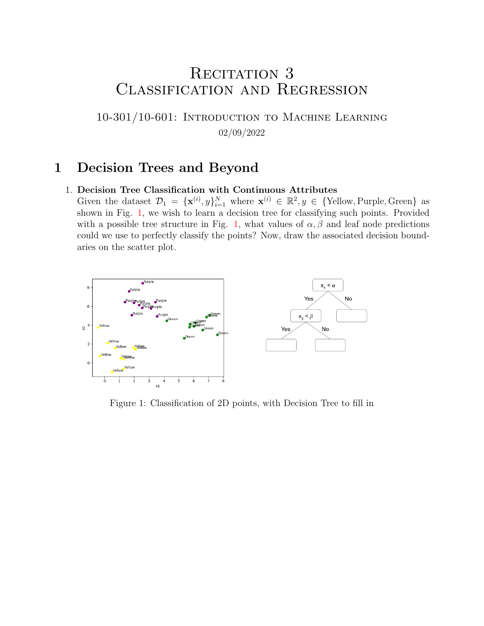# RECITATION 3 Classification and Regression

10-301/10-601: Introduction to Machine Learning 02/09/2022

## 1 Decision Trees and Beyond

#### 1. Decision Tree Classification with Continuous Attributes

Given the dataset  $\mathcal{D}_1 = {\mathbf{x}^{(i)}, y}_{i=1}^N$  where  $\mathbf{x}^{(i)} \in \mathbb{R}^2, y \in {\text{Yellow, purple, Green}}$  as shown in Fig. [1,](#page-0-0) we wish to learn a decision tree for classifying such points. Provided with a possible tree structure in Fig. [1,](#page-0-0) what values of  $\alpha$ ,  $\beta$  and leaf node predictions could we use to perfectly classify the points? Now, draw the associated decision boundaries on the scatter plot.

<span id="page-0-0"></span>

Figure 1: Classification of 2D points, with Decision Tree to fill in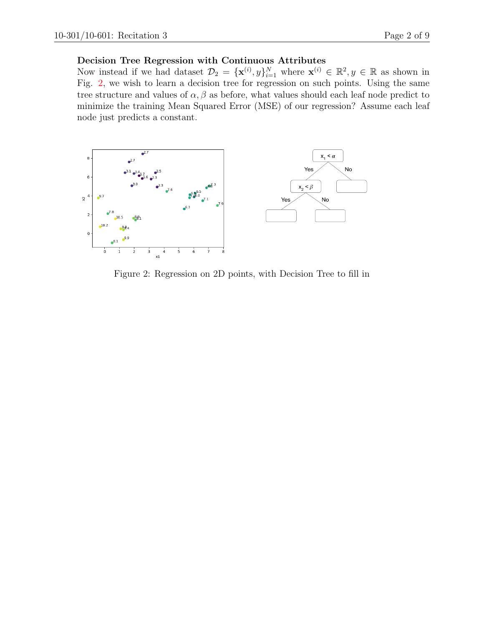#### Decision Tree Regression with Continuous Attributes

Now instead if we had dataset  $\mathcal{D}_2 = {\{\mathbf{x}^{(i)}, y\}}_{i=1}^N$  where  $\mathbf{x}^{(i)} \in \mathbb{R}^2, y \in \mathbb{R}$  as shown in Fig. [2,](#page-1-0) we wish to learn a decision tree for regression on such points. Using the same tree structure and values of  $\alpha$ ,  $\beta$  as before, what values should each leaf node predict to minimize the training Mean Squared Error (MSE) of our regression? Assume each leaf node just predicts a constant.

<span id="page-1-0"></span>

Figure 2: Regression on 2D points, with Decision Tree to fill in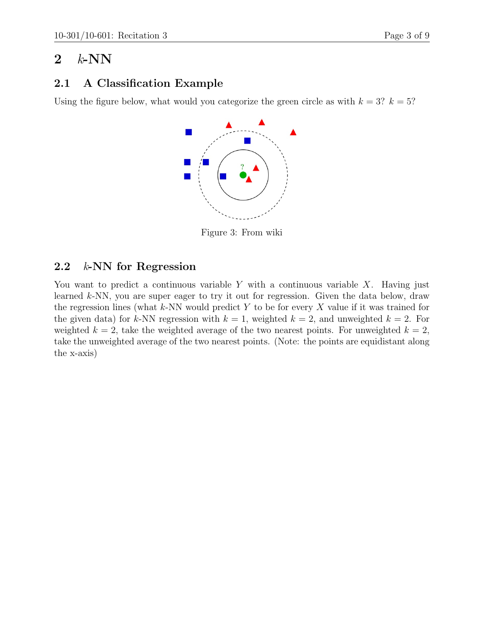# 2  $k$ -NN

### 2.1 A Classification Example

Using the figure below, what would you categorize the green circle as with  $k = 3$ ?  $k = 5$ ?



Figure 3: From wiki

### 2.2 k-NN for Regression

You want to predict a continuous variable Y with a continuous variable X. Having just learned k-NN, you are super eager to try it out for regression. Given the data below, draw the regression lines (what  $k$ -NN would predict Y to be for every X value if it was trained for the given data) for k-NN regression with  $k = 1$ , weighted  $k = 2$ , and unweighted  $k = 2$ . For weighted  $k = 2$ , take the weighted average of the two nearest points. For unweighted  $k = 2$ , take the unweighted average of the two nearest points. (Note: the points are equidistant along the x-axis)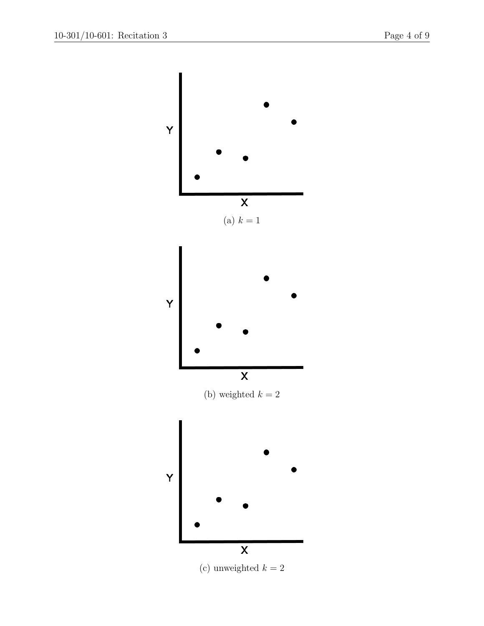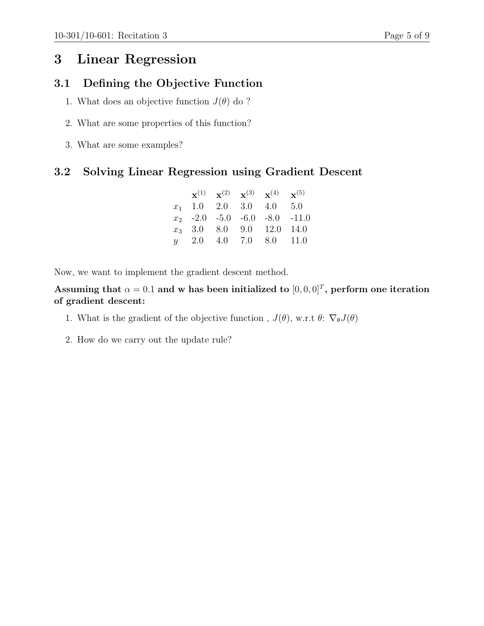# 3 Linear Regression

#### 3.1 Defining the Objective Function

- 1. What does an objective function  $J(\theta)$  do ?
- 2. What are some properties of this function?
- 3. What are some examples?

#### 3.2 Solving Linear Regression using Gradient Descent

|  |  | ${\bf x}^{(1)}$ ${\bf x}^{(2)}$ ${\bf x}^{(3)}$ ${\bf x}^{(4)}$ ${\bf x}^{(5)}$ |  |
|--|--|---------------------------------------------------------------------------------|--|
|  |  | $x_1$ 1.0 2.0 3.0 4.0 5.0                                                       |  |
|  |  | $x_2$ -2.0 -5.0 -6.0 -8.0 -11.0                                                 |  |
|  |  | $x_3$ 3.0 8.0 9.0 12.0 14.0                                                     |  |
|  |  | $y = 2.0$ 4.0 7.0 8.0 11.0                                                      |  |

Now, we want to implement the gradient descent method.

Assuming that  $\alpha = 0.1$  and w has been initialized to  $[0, 0, 0]^T$ , perform one iteration of gradient descent:

- 1. What is the gradient of the objective function,  $J(\theta)$ , w.r.t  $\theta$ :  $\nabla_{\theta}J(\theta)$
- 2. How do we carry out the update rule?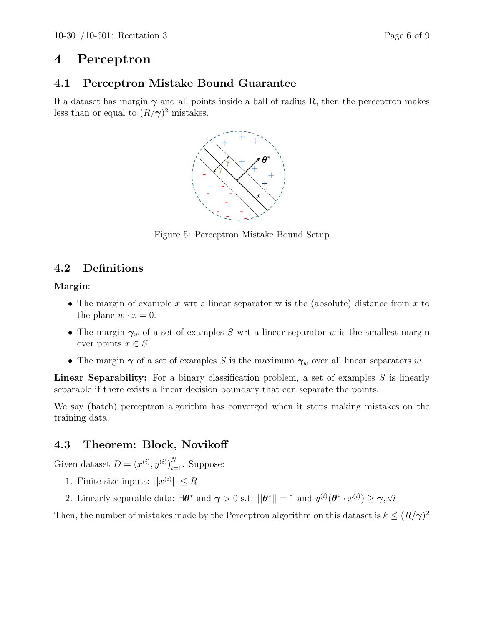# 4 Perceptron

### 4.1 Perceptron Mistake Bound Guarantee

If a dataset has margin  $\gamma$  and all points inside a ball of radius R, then the perceptron makes less than or equal to  $(R/\gamma)^2$  mistakes.



Figure 5: Perceptron Mistake Bound Setup

## 4.2 Definitions

Margin:

- The margin of example x wrt a linear separator w is the (absolute) distance from x to the plane  $w \cdot x = 0$ .
- The margin  $\gamma_w$  of a set of examples S wrt a linear separator w is the smallest margin over points  $x \in S$ .
- The margin  $\gamma$  of a set of examples S is the maximum  $\gamma_w$  over all linear separators w.

**Linear Separability:** For a binary classification problem, a set of examples  $S$  is linearly separable if there exists a linear decision boundary that can separate the points.

We say (batch) perceptron algorithm has converged when it stops making mistakes on the training data.

## 4.3 Theorem: Block, Novikoff

Given dataset  $D = (x^{(i)}, y^{(i)})_{i=1}^N$ . Suppose:

- 1. Finite size inputs:  $||x^{(i)}|| \leq R$
- 2. Linearly separable data:  $\exists \theta^*$  and  $\gamma > 0$  s.t.  $||\theta^*|| = 1$  and  $y^{(i)}(\theta^* \cdot x^{(i)}) \ge \gamma, \forall i$

Then, the number of mistakes made by the Perceptron algorithm on this dataset is  $k \leq (R/\gamma)^2$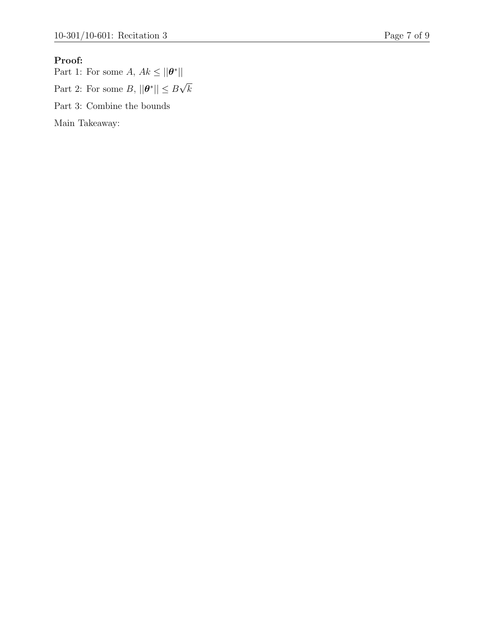#### Proof:

Part 1: For some A,  $Ak \le ||\boldsymbol{\theta}^*||$ Part 2: For some  $B, ||\boldsymbol{\theta}^*|| \leq B$  $^{\prime}$   $^{\prime}$ k Part 3: Combine the bounds

Main Takeaway: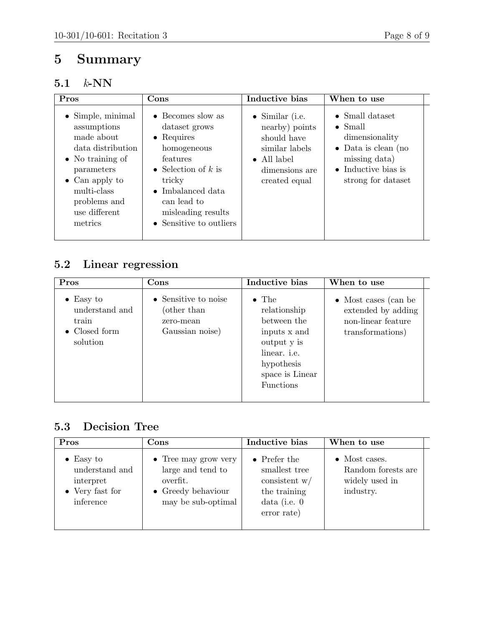# 5 Summary

## 5.1 k-NN

| Pros                                                                                                                                                                                                       | Cons                                                                                                                                                                                                                              | Inductive bias                                                                                                                       | When to use                                                                                                                                                       |  |
|------------------------------------------------------------------------------------------------------------------------------------------------------------------------------------------------------------|-----------------------------------------------------------------------------------------------------------------------------------------------------------------------------------------------------------------------------------|--------------------------------------------------------------------------------------------------------------------------------------|-------------------------------------------------------------------------------------------------------------------------------------------------------------------|--|
| $\bullet$ Simple, minimal<br>assumptions<br>made about<br>data distribution<br>$\bullet$ No training of<br>parameters<br>$\bullet$ Can apply to<br>multi-class<br>problems and<br>use different<br>metrics | $\bullet$ Becomes slow as<br>dataset grows<br>$\bullet$ Requires<br>homogeneous<br>features<br>• Selection of k is<br>tricky<br>$\bullet$ Imbalanced data<br>can lead to<br>misleading results<br>$\bullet$ Sensitive to outliers | $\bullet$ Similar (i.e.<br>nearby) points<br>should have<br>similar labels<br>$\bullet$ All label<br>dimensions are<br>created equal | $\bullet$ Small dataset<br>$\bullet$ Small<br>dimensionality<br>$\bullet$ Data is clean (no<br>missing data)<br>$\bullet$ Inductive bias is<br>strong for dataset |  |

# 5.2 Linear regression

| Pros                                                                      | $\bf Cons$                                                          | Inductive bias                                                                                                                                   | When to use                                                                                  |
|---------------------------------------------------------------------------|---------------------------------------------------------------------|--------------------------------------------------------------------------------------------------------------------------------------------------|----------------------------------------------------------------------------------------------|
| $\bullet$ Easy to<br>understand and<br>train<br>• Closed form<br>solution | • Sensitive to noise<br>(other than<br>zero-mean<br>Gaussian noise) | $\bullet$ The<br>relationship<br>between the<br>inputs x and<br>output y is<br>linear. <i>i.e.</i><br>hypothesis<br>space is Linear<br>Functions | $\bullet$ Most cases (can be<br>extended by adding<br>non-linear feature<br>transformations) |

## 5.3 Decision Tree

| Pros                                                                             | $\rm Cons$                                                                                                        | Inductive bias                                                                                            | When to use                                                                |
|----------------------------------------------------------------------------------|-------------------------------------------------------------------------------------------------------------------|-----------------------------------------------------------------------------------------------------------|----------------------------------------------------------------------------|
| $\bullet$ Easy to<br>understand and<br>interpret<br>• Very fast for<br>inference | $\bullet$ Tree may grow very<br>large and tend to<br>overfit.<br>$\bullet$ Greedy behaviour<br>may be sub-optimal | $\bullet$ Prefer the<br>smallest tree<br>consistent $w/$<br>the training<br>data (i.e. $0$<br>error rate) | $\bullet$ Most cases.<br>Random forests are<br>widely used in<br>industry. |